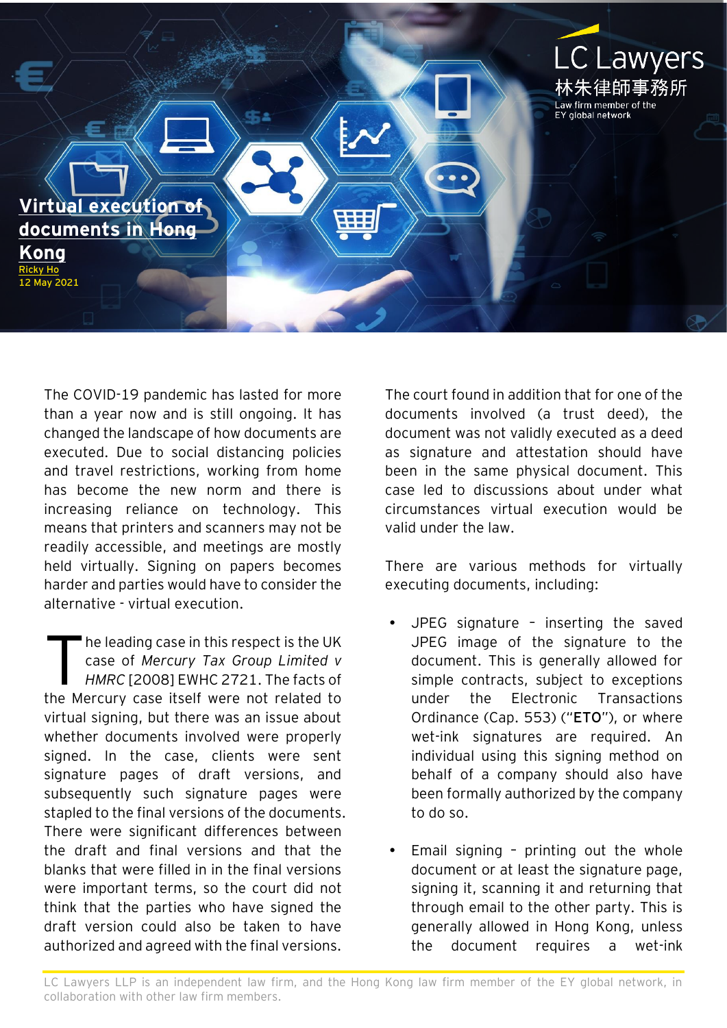

The COVID-19 pandemic has lasted for more than a year now and is still ongoing. It has changed the landscape of how documents are executed. Due to social distancing policies and travel restrictions, working from home has become the new norm and there is increasing reliance on technology. This means that printers and scanners may not be readily accessible, and meetings are mostly held virtually. Signing on papers becomes harder and parties would have to consider the alternative - virtual execution.

he leading case in this respect is the UK case of *Mercury Tax Group Limited v HMRC* [2008] EWHC 2721. The facts of the Mercury case itself were not related to virtual signing, but there was an issue about whether documents involved were properly signed. In the case, clients were sent signature pages of draft versions, and subsequently such signature pages were stapled to the final versions of the documents. There were significant differences between the draft and final versions and that the blanks that were filled in in the final versions were important terms, so the court did not think that the parties who have signed the draft version could also be taken to have authorized and agreed with the final versions. T

The court found in addition that for one of the documents involved (a trust deed), the document was not validly executed as a deed as signature and attestation should have been in the same physical document. This case led to discussions about under what circumstances virtual execution would be valid under the law.

There are various methods for virtually executing documents, including:

- JPEG signature inserting the saved JPEG image of the signature to the document. This is generally allowed for simple contracts, subject to exceptions under the Electronic Transactions Ordinance (Cap. 553) ("**ETO**"), or where wet-ink signatures are required. An individual using this signing method on behalf of a company should also have been formally authorized by the company to do so.
- Email signing printing out the whole document or at least the signature page, signing it, scanning it and returning that through email to the other party. This is generally allowed in Hong Kong, unless the document requires a wet-ink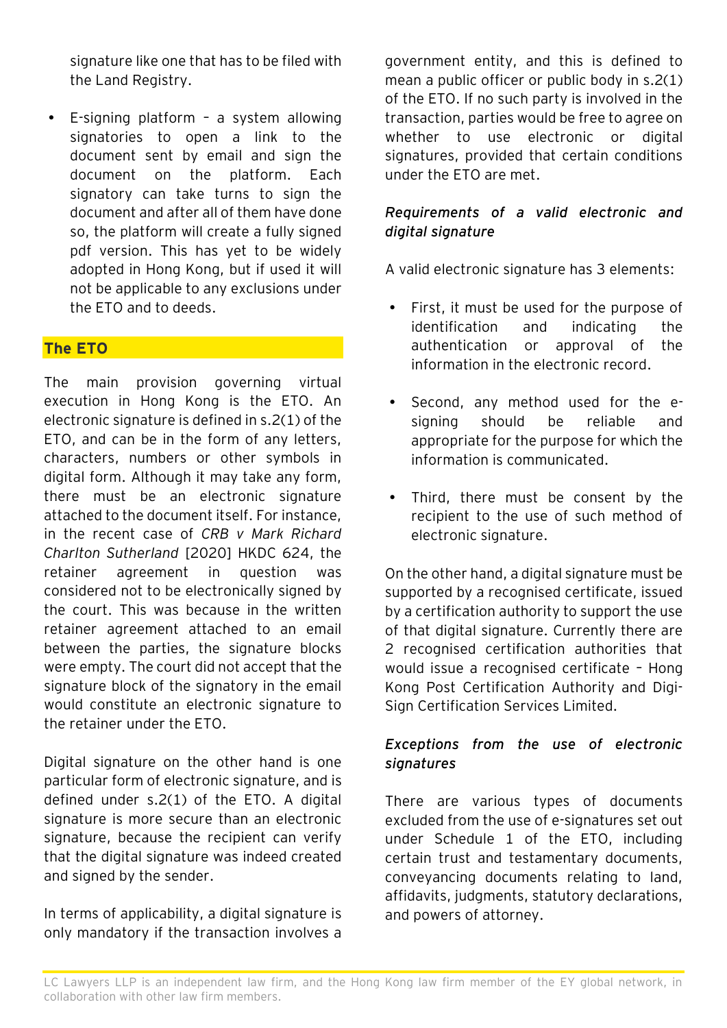signature like one that has to be filed with the Land Registry.

 E-signing platform – a system allowing signatories to open a link to the document sent by email and sign the document on the platform. Each signatory can take turns to sign the document and after all of them have done so, the platform will create a fully signed pdf version. This has yet to be widely adopted in Hong Kong, but if used it will not be applicable to any exclusions under the ETO and to deeds.

## **The ETO**

The main provision governing virtual execution in Hong Kong is the ETO. An electronic signature is defined in s.2(1) of the ETO, and can be in the form of any letters, characters, numbers or other symbols in digital form. Although it may take any form, there must be an electronic signature attached to the document itself. For instance, in the recent case of *CRB v Mark Richard Charlton Sutherland* [2020] HKDC 624, the retainer agreement in question was considered not to be electronically signed by the court. This was because in the written retainer agreement attached to an email between the parties, the signature blocks were empty. The court did not accept that the signature block of the signatory in the email would constitute an electronic signature to the retainer under the ETO.

Digital signature on the other hand is one particular form of electronic signature, and is defined under s.2(1) of the ETO. A digital signature is more secure than an electronic signature, because the recipient can verify that the digital signature was indeed created and signed by the sender.

In terms of applicability, a digital signature is only mandatory if the transaction involves a government entity, and this is defined to mean a public officer or public body in s.2(1) of the ETO. If no such party is involved in the transaction, parties would be free to agree on whether to use electronic or digital signatures, provided that certain conditions under the ETO are met.

#### *Requirements of a valid electronic and digital signature*

A valid electronic signature has 3 elements:

- First, it must be used for the purpose of identification and indicating the authentication or approval of the information in the electronic record.
- Second, any method used for the esigning should be reliable and appropriate for the purpose for which the information is communicated.
- Third, there must be consent by the recipient to the use of such method of electronic signature.

On the other hand, a digital signature must be supported by a recognised certificate, issued by a certification authority to support the use of that digital signature. Currently there are 2 recognised certification authorities that would issue a recognised certificate – Hong Kong Post Certification Authority and Digi-Sign Certification Services Limited.

## *Exceptions from the use of electronic signatures*

There are various types of documents excluded from the use of e-signatures set out under Schedule 1 of the ETO, including certain trust and testamentary documents, conveyancing documents relating to land, affidavits, judgments, statutory declarations, and powers of attorney.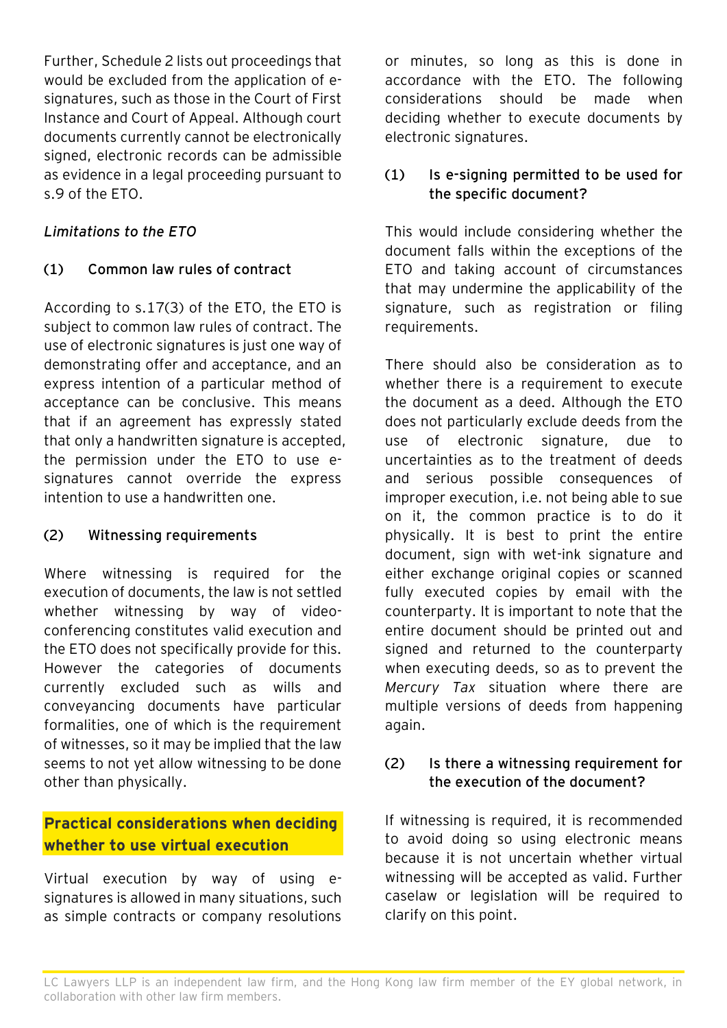Further, Schedule 2 lists out proceedings that would be excluded from the application of esignatures, such as those in the Court of First Instance and Court of Appeal. Although court documents currently cannot be electronically signed, electronic records can be admissible as evidence in a legal proceeding pursuant to s.9 of the ETO.

## *Limitations to the ETO*

# **(1) Common law rules of contract**

According to s.17(3) of the ETO, the ETO is subject to common law rules of contract. The use of electronic signatures is just one way of demonstrating offer and acceptance, and an express intention of a particular method of acceptance can be conclusive. This means that if an agreement has expressly stated that only a handwritten signature is accepted, the permission under the ETO to use esignatures cannot override the express intention to use a handwritten one.

## **(2) Witnessing requirements**

Where witnessing is required for the execution of documents, the law is not settled whether witnessing by way of videoconferencing constitutes valid execution and the ETO does not specifically provide for this. However the categories of documents currently excluded such as wills and conveyancing documents have particular formalities, one of which is the requirement of witnesses, so it may be implied that the law seems to not yet allow witnessing to be done other than physically.

# **Practical considerations when deciding whether to use virtual execution**

Virtual execution by way of using esignatures is allowed in many situations, such as simple contracts or company resolutions or minutes, so long as this is done in accordance with the ETO. The following considerations should be made when deciding whether to execute documents by electronic signatures.

## **(1) Is e-signing permitted to be used for the specific document?**

This would include considering whether the document falls within the exceptions of the ETO and taking account of circumstances that may undermine the applicability of the signature, such as registration or filing requirements.

There should also be consideration as to whether there is a requirement to execute the document as a deed. Although the ETO does not particularly exclude deeds from the use of electronic signature, due to uncertainties as to the treatment of deeds and serious possible consequences of improper execution, i.e. not being able to sue on it, the common practice is to do it physically. It is best to print the entire document, sign with wet-ink signature and either exchange original copies or scanned fully executed copies by email with the counterparty. It is important to note that the entire document should be printed out and signed and returned to the counterparty when executing deeds, so as to prevent the *Mercury Tax* situation where there are multiple versions of deeds from happening again.

## **(2) Is there a witnessing requirement for the execution of the document?**

If witnessing is required, it is recommended to avoid doing so using electronic means because it is not uncertain whether virtual witnessing will be accepted as valid. Further caselaw or legislation will be required to clarify on this point.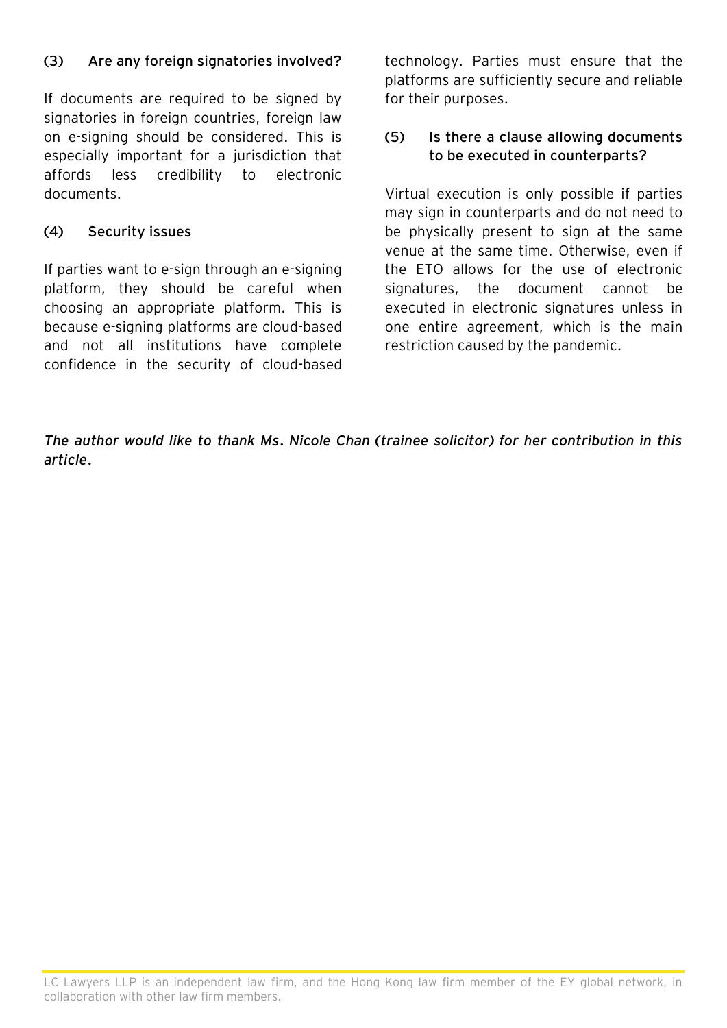## **(3) Are any foreign signatories involved?**

If documents are required to be signed by signatories in foreign countries, foreign law on e-signing should be considered. This is especially important for a jurisdiction that affords less credibility to electronic documents.

#### **(4) Security issues**

If parties want to e-sign through an e-signing platform, they should be careful when choosing an appropriate platform. This is because e-signing platforms are cloud-based and not all institutions have complete confidence in the security of cloud-based

technology. Parties must ensure that the platforms are sufficiently secure and reliable for their purposes.

#### **(5) Is there a clause allowing documents to be executed in counterparts?**

Virtual execution is only possible if parties may sign in counterparts and do not need to be physically present to sign at the same venue at the same time. Otherwise, even if the ETO allows for the use of electronic signatures, the document cannot be executed in electronic signatures unless in one entire agreement, which is the main restriction caused by the pandemic.

*The author would like to thank Ms. Nicole Chan (trainee solicitor) for her contribution in this article.*